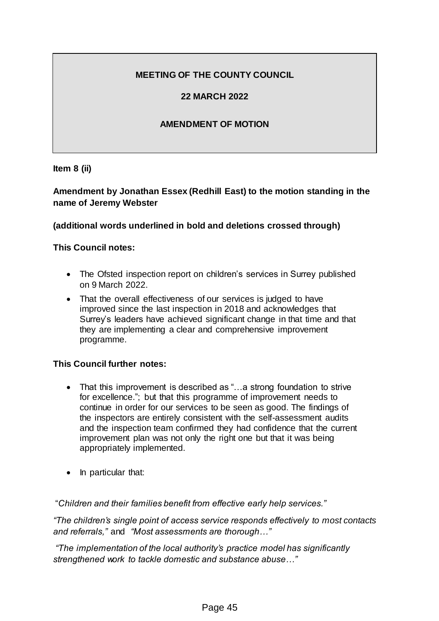# **MEETING OF THE COUNTY COUNCIL**

## **22 MARCH 2022**

### **AMENDMENT OF MOTION**

**Item 8 (ii)**

## **Amendment by Jonathan Essex (Redhill East) to the motion standing in the name of Jeremy Webster**

### **(additional words underlined in bold and deletions crossed through)**

### **This Council notes:**

- The Ofsted inspection report on children's services in Surrey published on 9 March 2022.
- That the overall effectiveness of our services is judged to have improved since the last inspection in 2018 and acknowledges that Surrey's leaders have achieved significant change in that time and that they are implementing a clear and comprehensive improvement programme.

#### **This Council further notes:**

- That this improvement is described as "...a strong foundation to strive for excellence."; but that this programme of improvement needs to continue in order for our services to be seen as good. The findings of the inspectors are entirely consistent with the self-assessment audits and the inspection team confirmed they had confidence that the current improvement plan was not only the right one but that it was being appropriately implemented.
- In particular that:

"*Children and their families benefit from effective early help services."*

*"The children's single point of access service responds effectively to most contacts and referrals,"* and *"Most assessments are thorough…"*

*"The implementation of the local authority's practice model has significantly strengthened work to tackle domestic and substance abuse…"*